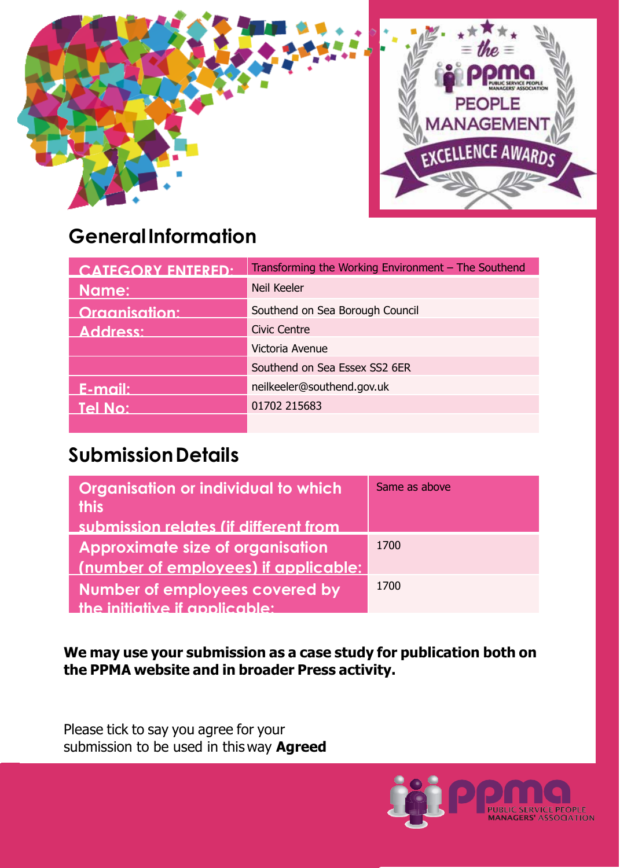

# **GeneralInformation**

| CATEGORY ENTERED.    | Transforming the Working Environment $-$ The Southend |
|----------------------|-------------------------------------------------------|
| Name:                | Neil Keeler                                           |
| <b>Organisation:</b> | Southend on Sea Borough Council                       |
| Address:             | <b>Civic Centre</b>                                   |
|                      | Victoria Avenue                                       |
|                      | Southend on Sea Essex SS2 6ER                         |
| E-mail:              | neilkeeler@southend.gov.uk                            |
| Tel No:              | 01702 215683                                          |
|                      |                                                       |

## **SubmissionDetails**

| Organisation or individual to which<br><b>this</b> | Same as above |
|----------------------------------------------------|---------------|
| submission relates (if different from              |               |
| Approximate size of organisation                   | 1700          |
| (number of employees) if applicable:               |               |
| Number of employees covered by                     | 1700          |
| the initiative if applicable:                      |               |

**We may use your submission as a case study for publication both on the PPMA website and in broader Press activity.**

Please tick to say you agree for your submission to be used in this way **Agreed**

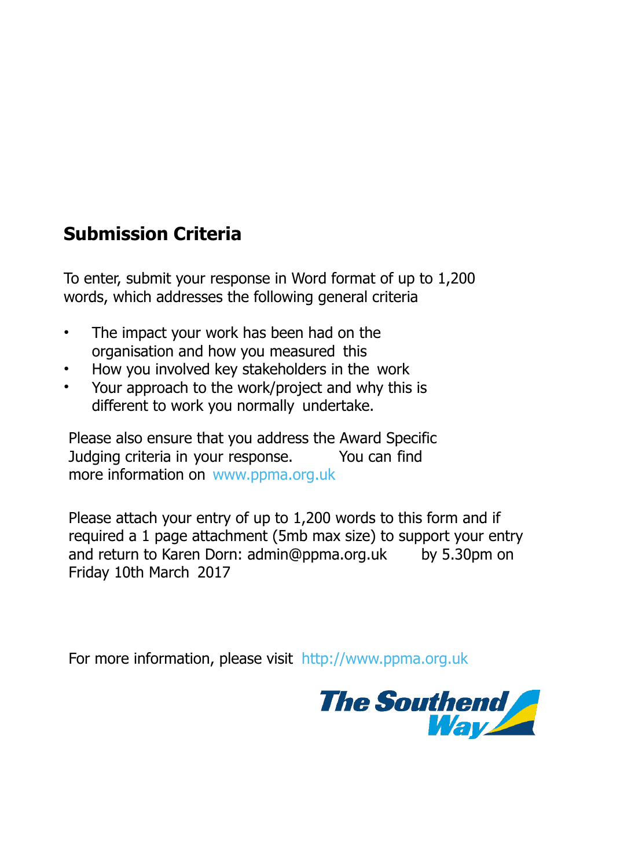### **Submission Criteria**

To enter, submit your response in Word format of up to 1,200 words, which addresses the following general criteria

- The impact your work has been had on the organisation and how you measured this
- How you involved key stakeholders in the work
- Your approach to the work/project and why this is different to work you normally undertake.

Please also ensure that you address the Award Specific Judging criteria in your response. You can find more information on [www.ppma.org.uk](http://www.ppma.org.uk/)

Please attach your entry of up to 1,200 words to this form and if required a 1 page attachment (5mb max size) to support your entry and return to Karen Dorn: [admin@ppma.org.uk](mailto:admin@ppma.org.uk) by 5.30pm on Friday 10th March 2017

For more information, please visit [http://www.ppma.org.uk](http://www.ppma.org.uk/)

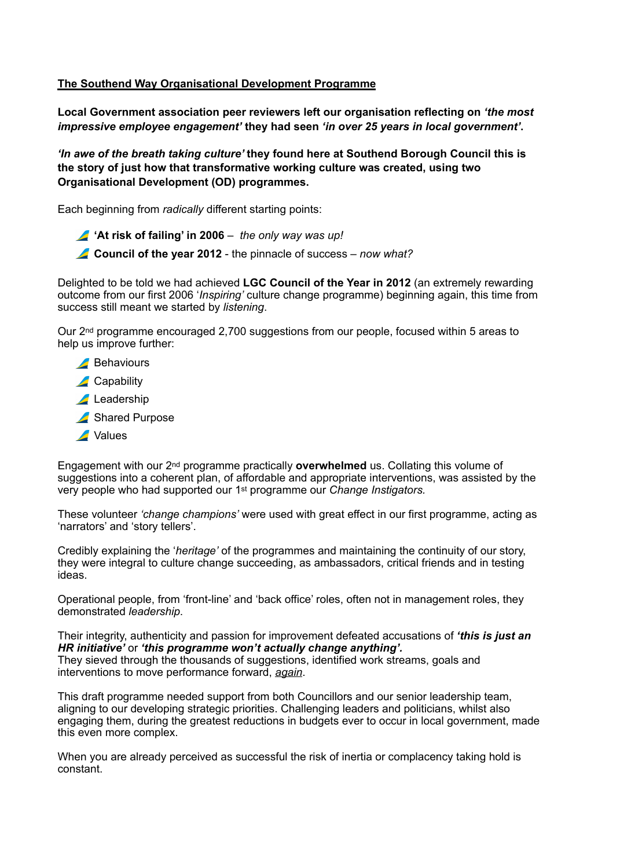#### **The Southend Way Organisational Development Programme**

**Local Government association peer reviewers left our organisation reflecting on** *'the most impressive employee engagement'* **they had seen** *'in over 25 years in local government'***.** 

*'In awe of the breath taking culture'* **they found here at Southend Borough Council this is the story of just how that transformative working culture was created, using two Organisational Development (OD) programmes.** 

Each beginning from *radically* different starting points:

- **'At risk of failing' in 2006** *the only way was up!*
- **Council of the year 2012** the pinnacle of success *now what?*

Delighted to be told we had achieved **LGC Council of the Year in 2012** (an extremely rewarding outcome from our first 2006 '*Inspiring'* culture change programme) beginning again, this time from success still meant we started by *listening*.

Our 2nd programme encouraged 2,700 suggestions from our people, focused within 5 areas to help us improve further:

- **Behaviours**
- **Capability**
- Leadership
- Shared Purpose
- **A** Values

Engagement with our 2nd programme practically **overwhelmed** us. Collating this volume of suggestions into a coherent plan, of affordable and appropriate interventions, was assisted by the very people who had supported our 1st programme our *Change Instigators.*

These volunteer *'change champions'* were used with great effect in our first programme, acting as 'narrators' and 'story tellers'.

Credibly explaining the '*heritage'* of the programmes and maintaining the continuity of our story, they were integral to culture change succeeding, as ambassadors, critical friends and in testing ideas.

Operational people, from 'front-line' and 'back office' roles, often not in management roles, they demonstrated *leadership*.

Their integrity, authenticity and passion for improvement defeated accusations of *'this is just an HR initiative'* or *'this programme won't actually change anything'.* They sieved through the thousands of suggestions, identified work streams, goals and interventions to move performance forward, *again*.

This draft programme needed support from both Councillors and our senior leadership team, aligning to our developing strategic priorities. Challenging leaders and politicians, whilst also engaging them, during the greatest reductions in budgets ever to occur in local government, made this even more complex.

When you are already perceived as successful the risk of inertia or complacency taking hold is constant.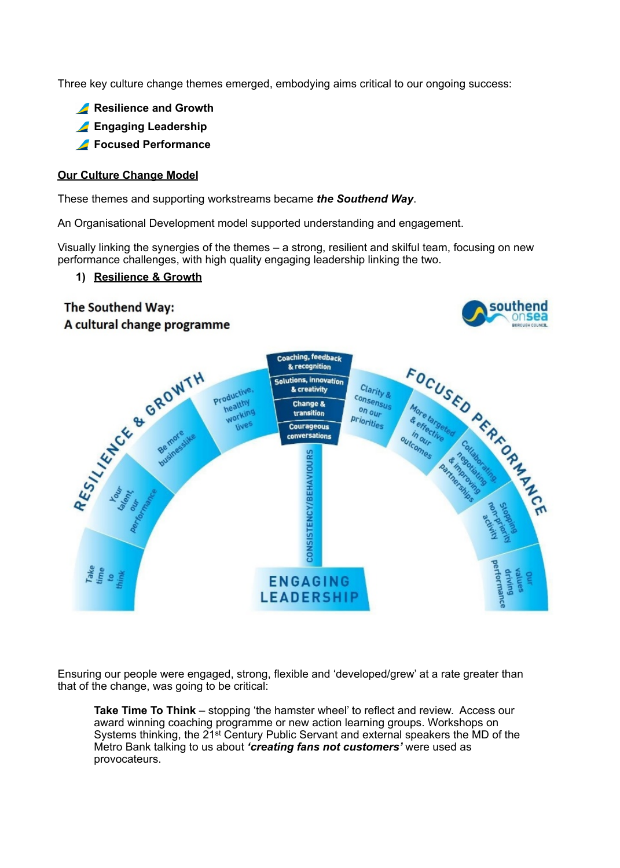Three key culture change themes emerged, embodying aims critical to our ongoing success:

- **A** Resilience and Growth
- **Engaging Leadership**
- **Focused Performance**

#### **Our Culture Change Model**

These themes and supporting workstreams became *the Southend Way*.

An Organisational Development model supported understanding and engagement.

Visually linking the synergies of the themes – a strong, resilient and skilful team, focusing on new performance challenges, with high quality engaging leadership linking the two.

> southend onsea

#### **1) Resilience & Growth**

### The Southend Way: A cultural change programme



Ensuring our people were engaged, strong, flexible and 'developed/grew' at a rate greater than that of the change, was going to be critical:

**Take Time To Think** – stopping 'the hamster wheel' to reflect and review. Access our award winning coaching programme or new action learning groups. Workshops on Systems thinking, the 21st Century Public Servant and external speakers the MD of the Metro Bank talking to us about *'creating fans not customers'* were used as provocateurs.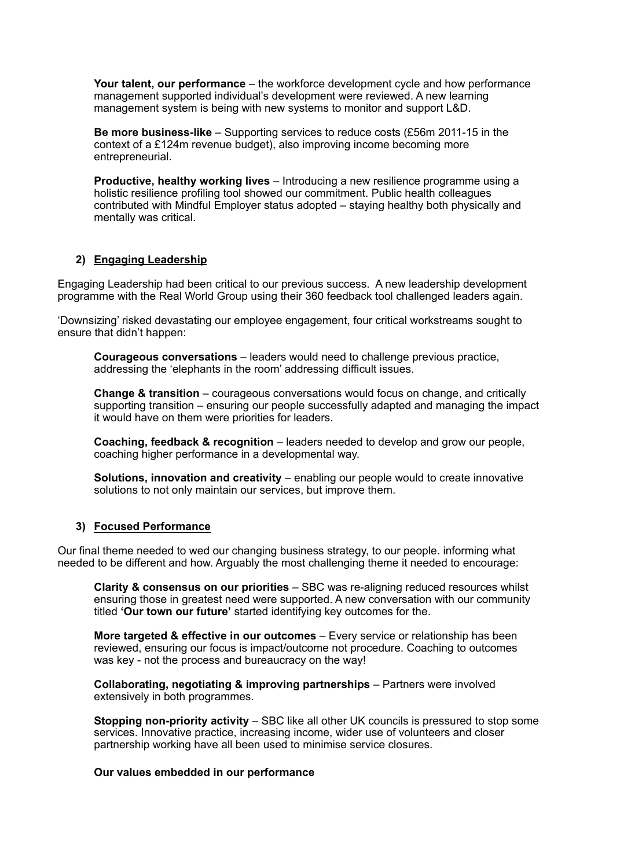**Your talent, our performance** – the workforce development cycle and how performance management supported individual's development were reviewed. A new learning management system is being with new systems to monitor and support L&D.

**Be more business-like** – Supporting services to reduce costs (£56m 2011-15 in the context of a £124m revenue budget), also improving income becoming more entrepreneurial.

**Productive, healthy working lives** – Introducing a new resilience programme using a holistic resilience profiling tool showed our commitment. Public health colleagues contributed with Mindful Employer status adopted – staying healthy both physically and mentally was critical.

#### **2) Engaging Leadership**

Engaging Leadership had been critical to our previous success. A new leadership development programme with the Real World Group using their 360 feedback tool challenged leaders again.

'Downsizing' risked devastating our employee engagement, four critical workstreams sought to ensure that didn't happen:

**Courageous conversations** – leaders would need to challenge previous practice, addressing the 'elephants in the room' addressing difficult issues.

**Change & transition** – courageous conversations would focus on change, and critically supporting transition – ensuring our people successfully adapted and managing the impact it would have on them were priorities for leaders.

**Coaching, feedback & recognition** – leaders needed to develop and grow our people, coaching higher performance in a developmental way.

**Solutions, innovation and creativity** – enabling our people would to create innovative solutions to not only maintain our services, but improve them.

#### **3) Focused Performance**

Our final theme needed to wed our changing business strategy, to our people. informing what needed to be different and how. Arguably the most challenging theme it needed to encourage:

**Clarity & consensus on our priorities** – SBC was re-aligning reduced resources whilst ensuring those in greatest need were supported. A new conversation with our community titled **'Our town our future'** started identifying key outcomes for the.

**More targeted & effective in our outcomes** – Every service or relationship has been reviewed, ensuring our focus is impact/outcome not procedure. Coaching to outcomes was key - not the process and bureaucracy on the way!

**Collaborating, negotiating & improving partnerships** – Partners were involved extensively in both programmes.

**Stopping non-priority activity** – SBC like all other UK councils is pressured to stop some services. Innovative practice, increasing income, wider use of volunteers and closer partnership working have all been used to minimise service closures.

#### **Our values embedded in our performance**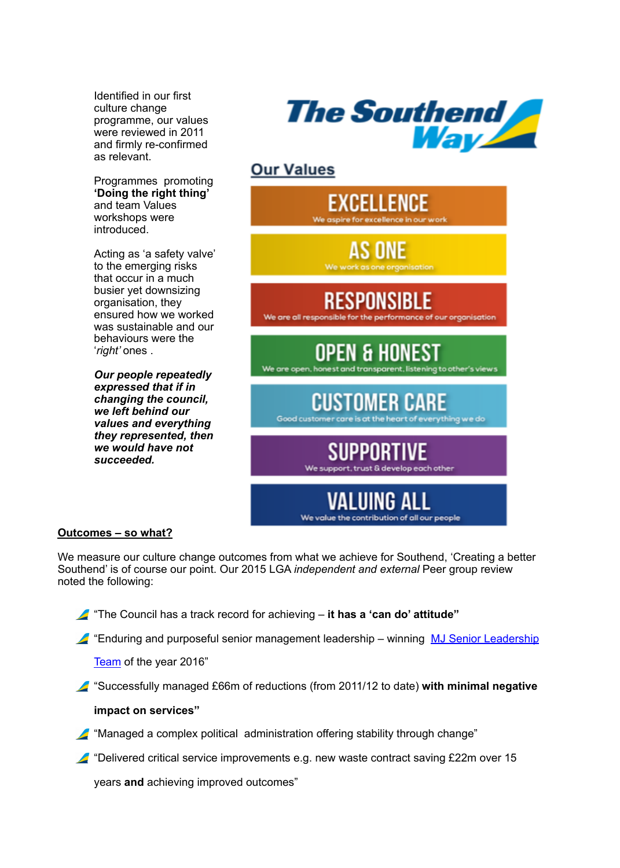Identified in our first culture change programme, our values were reviewed in 2011 and firmly re-confirmed as relevant.

Programmes promoting **'Doing the right thing'** and team Values workshops were introduced.

Acting as 'a safety valve' to the emerging risks that occur in a much busier yet downsizing organisation, they ensured how we worked was sustainable and our behaviours were the '*right'* ones .

*Our people repeatedly expressed that if in changing the council, we left behind our values and everything they represented, then we would have not succeeded.* 



### **Our Values**



#### **Outcomes – so what?**

We measure our culture change outcomes from what we achieve for Southend, 'Creating a better Southend' is of course our point. Our 2015 LGA *independent and external* Peer group review noted the following:

"The Council has a track record for achieving – **it has a 'can do' attitude"**

"Enduring and purposeful senior management leadership – winning [MJ Senior Leadership](http://awards.themj.co.uk/winners) 

[Team](http://awards.themj.co.uk/winners) of the year 2016"

"Successfully managed £66m of reductions (from 2011/12 to date) **with minimal negative** 

#### **impact on services"**

- "Managed a complex political administration offering stability through change"
- $\blacktriangle$  "Delivered critical service improvements e.g. new waste contract saving £22m over 15

years **and** achieving improved outcomes"